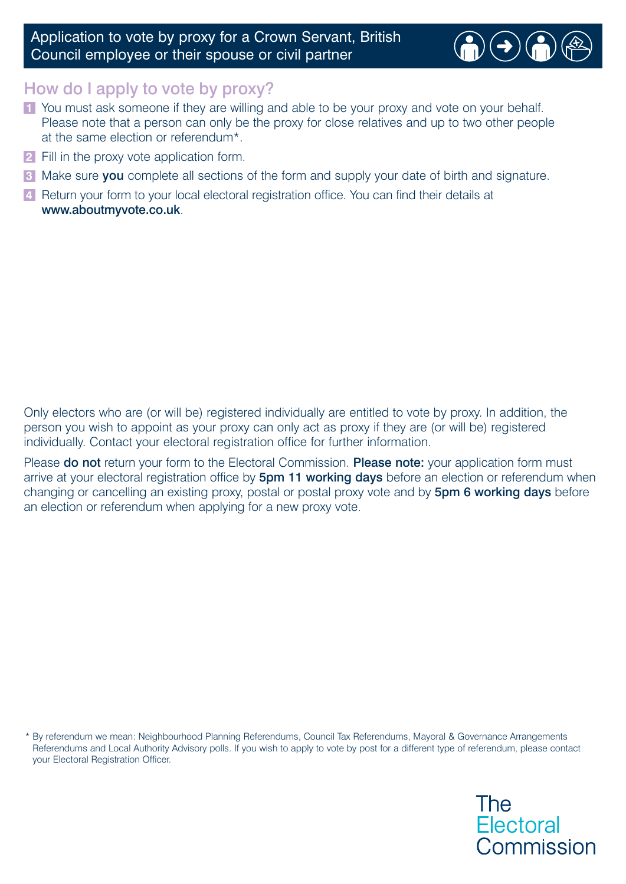## Application to vote by proxy for a Crown Servant, British Council employee or their spouse or civil partner



## How do I apply to vote by proxy?

- **1** You must ask someone if they are willing and able to be your proxy and vote on your behalf. Please note that a person can only be the proxy for close relatives and up to two other people at the same election or referendum\*.
- Fill in the proxy vote application form. **2**
- Make sure you complete all sections of the form and supply your date of birth and signature. **3**
- 4 Return your form to your local electoral registration office. You can find their details at www.aboutmyvote.co.uk.

Only electors who are (or will be) registered individually are entitled to vote by proxy. In addition, the person you wish to appoint as your proxy can only act as proxy if they are (or will be) registered individually. Contact your electoral registration office for further information.

Please **do not** return your form to the Electoral Commission. **Please note:** your application form must arrive at your electoral registration office by 5pm 11 working days before an election or referendum when changing or cancelling an existing proxy, postal or postal proxy vote and by 5pm 6 working days before an election or referendum when applying for a new proxy vote.

\* By referendum we mean: Neighbourhood Planning Referendums, Council Tax Referendums, Mayoral & Governance Arrangements Referendums and Local Authority Advisory polls. If you wish to apply to vote by post for a different type of referendum, please contact your Electoral Registration Officer.

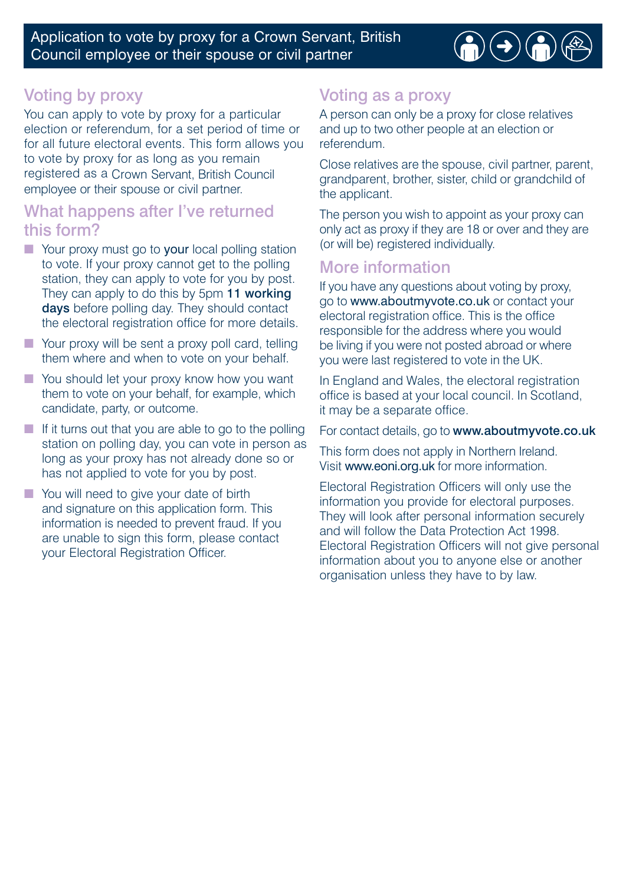Application to vote by proxy for a Crown Servant, British Council employee or their spouse or civil partner



# Voting by proxy

 employee or their spouse or civil partner. You can apply to vote by proxy for a particular election or referendum, for a set period of time or for all future electoral events. This form allows you to vote by proxy for as long as you remain registered as a Crown Servant, British Council

## What happens after I've returned this form?

- Your proxy must go to your local polling station to vote. If your proxy cannot get to the polling station, they can apply to vote for you by post. They can apply to do this by 5pm 11 working days before polling day. They should contact the electoral registration office for more details.
- Your proxy will be sent a proxy poll card, telling them where and when to vote on your behalf.
- You should let your proxy know how you want them to vote on your behalf, for example, which candidate, party, or outcome.
- $\blacksquare$  If it turns out that you are able to go to the polling station on polling day, you can vote in person as long as your proxy has not already done so or has not applied to vote for you by post.
- You will need to give your date of birth and signature on this application form. This information is needed to prevent fraud. If you are unable to sign this form, please contact your Electoral Registration Officer.

## Voting as a proxy

A person can only be a proxy for close relatives and up to two other people at an election or referendum.

Close relatives are the spouse, civil partner, parent, grandparent, brother, sister, child or grandchild of the applicant.

The person you wish to appoint as your proxy can only act as proxy if they are 18 or over and they are (or will be) registered individually.

## More information

If you have any questions about voting by proxy, go to www.aboutmyvote.co.uk or contact your electoral registration office. This is the office responsible for the address where you would be living if you were not posted abroad or where you were last registered to vote in the UK.

In England and Wales, the electoral registration office is based at your local council. In Scotland, it may be a separate office.

For contact details, go to www.aboutmyvote.co.uk

This form does not apply in Northern Ireland. Visit www.eoni.org.uk for more information.

Electoral Registration Officers will only use the information you provide for electoral purposes. They will look after personal information securely and will follow the Data Protection Act 1998. Electoral Registration Officers will not give personal information about you to anyone else or another organisation unless they have to by law.